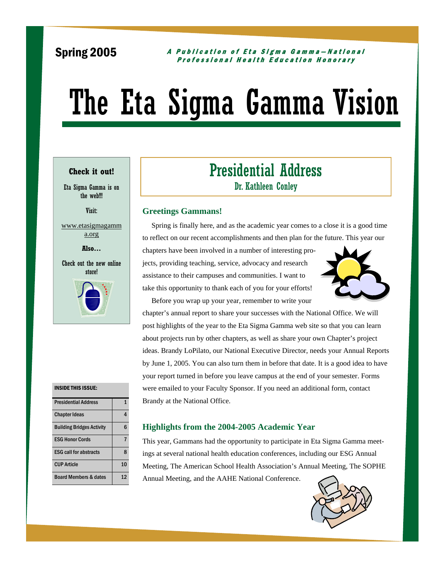### Spring 2005

#### A Publication of Eta Sigma Gamma—National Professional Health Education Honorary

# The Eta Sigma Gamma Vision

#### **Check it out!**

Eta Sigma Gamma is on the web!!!

Visit:

www.etasigmagamm a.org

**Also…** 

Check out the new online **store!** 



## Presidential Address Dr. Kathleen Conley

#### **Greetings Gammans!**

 Spring is finally here, and as the academic year comes to a close it is a good time to reflect on our recent accomplishments and then plan for the future. This year our

chapters have been involved in a number of interesting projects, providing teaching, service, advocacy and research assistance to their campuses and communities. I want to take this opportunity to thank each of you for your efforts!

Before you wrap up your year, remember to write your



chapter's annual report to share your successes with the National Office. We will post highlights of the year to the Eta Sigma Gamma web site so that you can learn about projects run by other chapters, as well as share your own Chapter's project ideas. Brandy LoPilato, our National Executive Director, needs your Annual Reports by June 1, 2005. You can also turn them in before that date. It is a good idea to have your report turned in before you leave campus at the end of your semester. Forms were emailed to your Faculty Sponsor. If you need an additional form, contact Brandy at the National Office.

#### INSIDE THIS ISSUE:

| <b>Presidential Address</b>      |    |
|----------------------------------|----|
| <b>Chapter Ideas</b>             | Δ  |
| <b>Building Bridges Activity</b> | հ  |
| <b>ESG Honor Cords</b>           |    |
| <b>ESG call for abstracts</b>    | ጰ  |
| <b>CUP Article</b>               | 10 |
| <b>Board Members &amp; dates</b> | 12 |

#### **Highlights from the 2004-2005 Academic Year**

This year, Gammans had the opportunity to participate in Eta Sigma Gamma meetings at several national health education conferences, including our ESG Annual Meeting, The American School Health Association's Annual Meeting, The SOPHE Annual Meeting, and the AAHE National Conference.

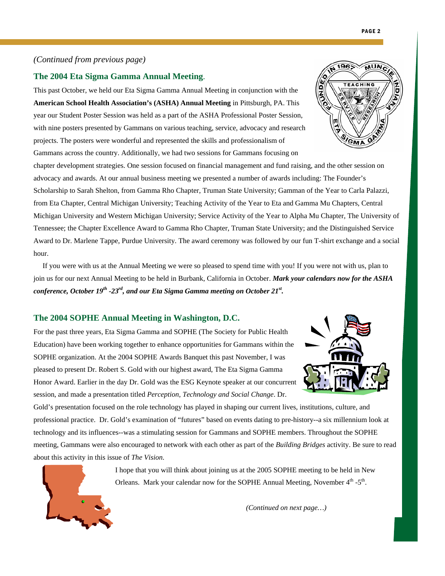#### **The 2004 Eta Sigma Gamma Annual Meeting**.

This past October, we held our Eta Sigma Gamma Annual Meeting in conjunction with the **American School Health Association's (ASHA) Annual Meeting** in Pittsburgh, PA. This year our Student Poster Session was held as a part of the ASHA Professional Poster Session, with nine posters presented by Gammans on various teaching, service, advocacy and research projects. The posters were wonderful and represented the skills and professionalism of Gammans across the country. Additionally, we had two sessions for Gammans focusing on

chapter development strategies. One session focused on financial management and fund raising, and the other session on advocacy and awards. At our annual business meeting we presented a number of awards including: The Founder's Scholarship to Sarah Shelton, from Gamma Rho Chapter, Truman State University; Gamman of the Year to Carla Palazzi, from Eta Chapter, Central Michigan University; Teaching Activity of the Year to Eta and Gamma Mu Chapters, Central Michigan University and Western Michigan University; Service Activity of the Year to Alpha Mu Chapter, The University of Tennessee; the Chapter Excellence Award to Gamma Rho Chapter, Truman State University; and the Distinguished Service Award to Dr. Marlene Tappe, Purdue University. The award ceremony was followed by our fun T-shirt exchange and a social hour.

 If you were with us at the Annual Meeting we were so pleased to spend time with you! If you were not with us, plan to join us for our next Annual Meeting to be held in Burbank, California in October. *Mark your calendars now for the ASHA conference, October 19th -23rd, and our Eta Sigma Gamma meeting on October 21st .*

#### **The 2004 SOPHE Annual Meeting in Washington, D.C.**

For the past three years, Eta Sigma Gamma and SOPHE (The Society for Public Health Education) have been working together to enhance opportunities for Gammans within the SOPHE organization. At the 2004 SOPHE Awards Banquet this past November, I was pleased to present Dr. Robert S. Gold with our highest award, The Eta Sigma Gamma Honor Award. Earlier in the day Dr. Gold was the ESG Keynote speaker at our concurrent session, and made a presentation titled *Perception, Technology and Social Change*. Dr.

Gold's presentation focused on the role technology has played in shaping our current lives, institutions, culture, and professional practice. Dr. Gold's examination of "futures" based on events dating to pre-history--a six millennium look at technology and its influences--was a stimulating session for Gammans and SOPHE members. Throughout the SOPHE meeting, Gammans were also encouraged to network with each other as part of the *Building Bridges* activity. Be sure to read about this activity in this issue of *The Vision*.

> I hope that you will think about joining us at the 2005 SOPHE meeting to be held in New Orleans. Mark your calendar now for the SOPHE Annual Meeting, November  $4<sup>th</sup> - 5<sup>th</sup>$ .





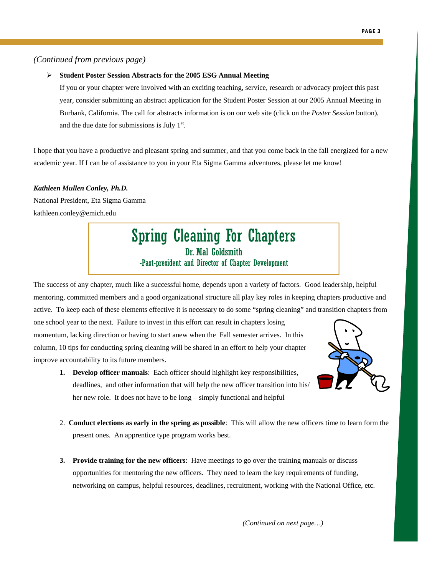#### ¾ **Student Poster Session Abstracts for the 2005 ESG Annual Meeting**

If you or your chapter were involved with an exciting teaching, service, research or advocacy project this past year, consider submitting an abstract application for the Student Poster Session at our 2005 Annual Meeting in Burbank, California. The call for abstracts information is on our web site (click on the *Poster Session* button), and the due date for submissions is July  $1<sup>st</sup>$ .

I hope that you have a productive and pleasant spring and summer, and that you come back in the fall energized for a new academic year. If I can be of assistance to you in your Eta Sigma Gamma adventures, please let me know!

#### *Kathleen Mullen Conley, Ph.D.*

National President, Eta Sigma Gamma kathleen.conley@emich.edu

### Spring Cleaning For Chapters Dr. Mal Goldsmith -Past-president and Director of Chapter Development

The success of any chapter, much like a successful home, depends upon a variety of factors. Good leadership, helpful mentoring, committed members and a good organizational structure all play key roles in keeping chapters productive and active. To keep each of these elements effective it is necessary to do some "spring cleaning" and transition chapters from

one school year to the next. Failure to invest in this effort can result in chapters losing momentum, lacking direction or having to start anew when the Fall semester arrives. In this column, 10 tips for conducting spring cleaning will be shared in an effort to help your chapter improve accountability to its future members.



- **1. Develop officer manuals**: Each officer should highlight key responsibilities, deadlines, and other information that will help the new officer transition into his/ her new role. It does not have to be long – simply functional and helpful
- 2. **Conduct elections as early in the spring as possible**: This will allow the new officers time to learn form the present ones. An apprentice type program works best.
- **3. Provide training for the new officers**: Have meetings to go over the training manuals or discuss opportunities for mentoring the new officers. They need to learn the key requirements of funding, networking on campus, helpful resources, deadlines, recruitment, working with the National Office, etc.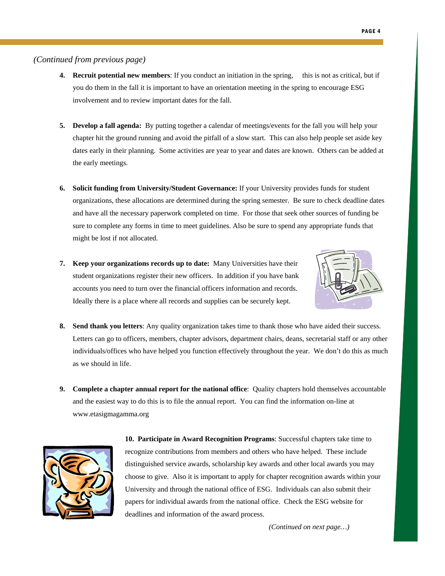- **4. Recruit potential new members**: If you conduct an initiation in the spring, this is not as critical, but if you do them in the fall it is important to have an orientation meeting in the spring to encourage ESG involvement and to review important dates for the fall.
- **5. Develop a fall agenda:** By putting together a calendar of meetings/events for the fall you will help your chapter hit the ground running and avoid the pitfall of a slow start. This can also help people set aside key dates early in their planning. Some activities are year to year and dates are known. Others can be added at the early meetings.
- **6. Solicit funding from University/Student Governance:** If your University provides funds for student organizations, these allocations are determined during the spring semester. Be sure to check deadline dates and have all the necessary paperwork completed on time. For those that seek other sources of funding be sure to complete any forms in time to meet guidelines. Also be sure to spend any appropriate funds that might be lost if not allocated.
- **7. Keep your organizations records up to date:** Many Universities have their student organizations register their new officers. In addition if you have bank accounts you need to turn over the financial officers information and records. Ideally there is a place where all records and supplies can be securely kept.



- **8. Send thank you letters**: Any quality organization takes time to thank those who have aided their success. Letters can go to officers, members, chapter advisors, department chairs, deans, secretarial staff or any other individuals/offices who have helped you function effectively throughout the year. We don't do this as much as we should in life.
- **9. Complete a chapter annual report for the national office**: Quality chapters hold themselves accountable and the easiest way to do this is to file the annual report. You can find the information on-line at www.etasigmagamma.org



**10. Participate in Award Recognition Programs**: Successful chapters take time to recognize contributions from members and others who have helped. These include distinguished service awards, scholarship key awards and other local awards you may choose to give. Also it is important to apply for chapter recognition awards within your University and through the national office of ESG. Individuals can also submit their papers for individual awards from the national office. Check the ESG website for deadlines and information of the award process.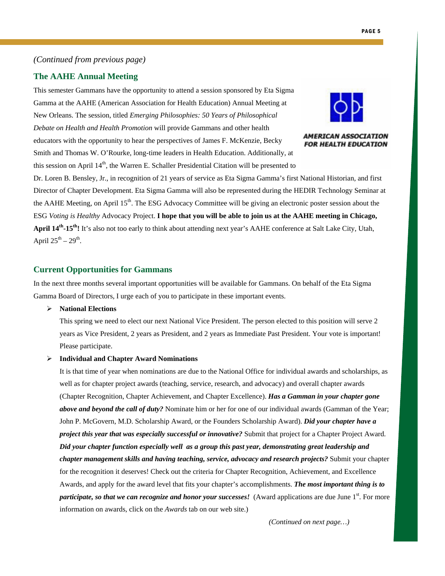#### **The AAHE Annual Meeting**

This semester Gammans have the opportunity to attend a session sponsored by Eta Sigma Gamma at the AAHE (American Association for Health Education) Annual Meeting at New Orleans. The session, titled *Emerging Philosophies: 50 Years of Philosophical Debate on Health and Health Promotion* will provide Gammans and other health educators with the opportunity to hear the perspectives of James F. McKenzie, Becky Smith and Thomas W. O'Rourke, long-time leaders in Health Education. Additionally, at this session on April  $14<sup>th</sup>$ , the Warren E. Schaller Presidential Citation will be presented to



**AMERICAN ASSOCIATION FOR HEALTH EDUCATION** 

Dr. Loren B. Bensley, Jr., in recognition of 21 years of service as Eta Sigma Gamma's first National Historian, and first Director of Chapter Development. Eta Sigma Gamma will also be represented during the HEDIR Technology Seminar at the AAHE Meeting, on April  $15<sup>th</sup>$ . The ESG Advocacy Committee will be giving an electronic poster session about the ESG *Voting is Healthy* Advocacy Project. **I hope that you will be able to join us at the AAHE meeting in Chicago, April 14th-15th!** It's also not too early to think about attending next year's AAHE conference at Salt Lake City, Utah, April  $25^{th} - 29^{th}$ .

#### **Current Opportunities for Gammans**

In the next three months several important opportunities will be available for Gammans. On behalf of the Eta Sigma Gamma Board of Directors, I urge each of you to participate in these important events.

#### ¾ **National Elections**

This spring we need to elect our next National Vice President. The person elected to this position will serve 2 years as Vice President, 2 years as President, and 2 years as Immediate Past President. Your vote is important! Please participate.

#### ¾ **Individual and Chapter Award Nominations**

It is that time of year when nominations are due to the National Office for individual awards and scholarships, as well as for chapter project awards (teaching, service, research, and advocacy) and overall chapter awards (Chapter Recognition, Chapter Achievement, and Chapter Excellence). *Has a Gamman in your chapter gone above and beyond the call of duty?* Nominate him or her for one of our individual awards (Gamman of the Year; John P. McGovern, M.D. Scholarship Award, or the Founders Scholarship Award). *Did your chapter have a project this year that was especially successful or innovative?* Submit that project for a Chapter Project Award. *Did your chapter function especially well as a group this past year, demonstrating great leadership and chapter management skills and having teaching, service, advocacy and research projects?* Submit your chapter for the recognition it deserves! Check out the criteria for Chapter Recognition, Achievement, and Excellence Awards, and apply for the award level that fits your chapter's accomplishments. *The most important thing is to participate, so that we can recognize and honor your successes!* (Award applications are due June 1<sup>st</sup>. For more information on awards, click on the *Awards* tab on our web site.)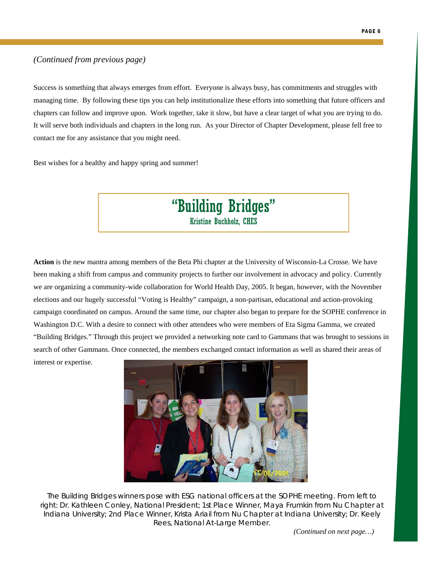Success is something that always emerges from effort. Everyone is always busy, has commitments and struggles with managing time. By following these tips you can help institutionalize these efforts into something that future officers and chapters can follow and improve upon. Work together, take it slow, but have a clear target of what you are trying to do. It will serve both individuals and chapters in the long run. As your Director of Chapter Development, please fell free to contact me for any assistance that you might need.

Best wishes for a healthy and happy spring and summer!

### "Building Bridges" Kristine Buchholz, CHES

**Action** is the new mantra among members of the Beta Phi chapter at the University of Wisconsin-La Crosse. We have been making a shift from campus and community projects to further our involvement in advocacy and policy. Currently we are organizing a community-wide collaboration for World Health Day, 2005. It began, however, with the November elections and our hugely successful "Voting is Healthy" campaign, a non-partisan, educational and action-provoking campaign coordinated on campus. Around the same time, our chapter also began to prepare for the SOPHE conference in Washington D.C. With a desire to connect with other attendees who were members of Eta Sigma Gamma, we created "Building Bridges." Through this project we provided a networking note card to Gammans that was brought to sessions in search of other Gammans. Once connected, the members exchanged contact information as well as shared their areas of

interest or expertise.



The Building Bridges winners pose with ESG national officers at the SOPHE meeting. From left to right: Dr. Kathleen Conley, National President; 1st Place Winner, Maya Frumkin from Nu Chapter at Indiana University; 2nd Place Winner, Krista Ariail from Nu Chapter at Indiana University; Dr. Keely Rees, National At-Large Member.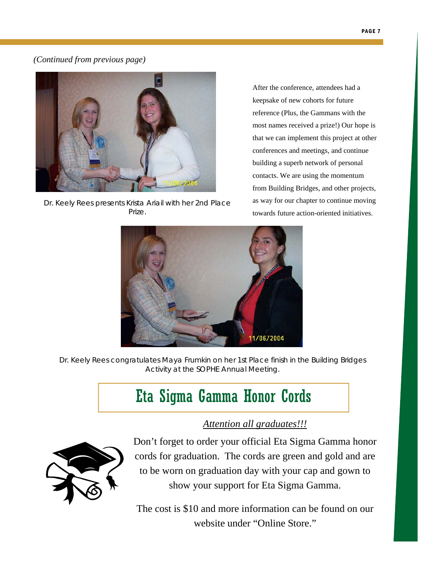

Dr. Keely Rees presents Krista Ariail with her 2nd Place Prize.

After the conference, attendees had a keepsake of new cohorts for future reference (Plus, the Gammans with the most names received a prize!) Our hope is that we can implement this project at other conferences and meetings, and continue building a superb network of personal contacts. We are using the momentum from Building Bridges, and other projects, as way for our chapter to continue moving towards future action-oriented initiatives.



Dr. Keely Rees congratulates Maya Frumkin on her 1st Place finish in the Building Bridges Activity at the SOPHE Annual Meeting.

# Eta Sigma Gamma Honor Cords

### *Attention all graduates!!!*



Don't forget to order your official Eta Sigma Gamma honor cords for graduation. The cords are green and gold and are to be worn on graduation day with your cap and gown to show your support for Eta Sigma Gamma.

The cost is \$10 and more information can be found on our website under "Online Store."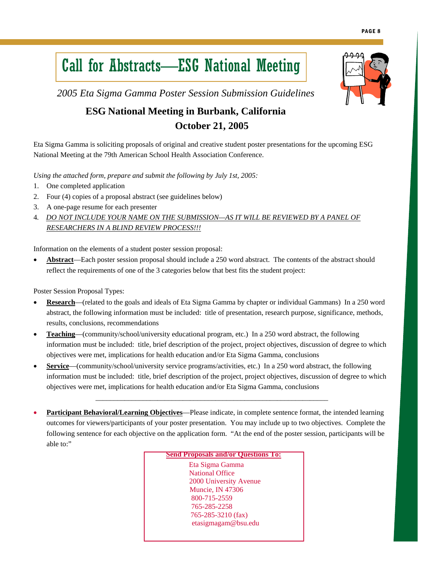# Call for Abstracts—ESG National Meeting

*2005 Eta Sigma Gamma Poster Session Submission Guidelines* 

### **ESG National Meeting in Burbank, California October 21, 2005**

Eta Sigma Gamma is soliciting proposals of original and creative student poster presentations for the upcoming ESG National Meeting at the 79th American School Health Association Conference.

*Using the attached form, prepare and submit the following by July 1st, 2005:* 

- 1. One completed application
- 2. Four (4) copies of a proposal abstract (see guidelines below)
- 3. A one-page resume for each presenter
- 4*. DO NOT INCLUDE YOUR NAME ON THE SUBMISSION—AS IT WILL BE REVIEWED BY A PANEL OF RESEARCHERS IN A BLIND REVIEW PROCESS!!!*

Information on the elements of a student poster session proposal:

• **Abstract**—Each poster session proposal should include a 250 word abstract. The contents of the abstract should reflect the requirements of one of the 3 categories below that best fits the student project:

Poster Session Proposal Types:

- **Research**—(related to the goals and ideals of Eta Sigma Gamma by chapter or individual Gammans) In a 250 word abstract, the following information must be included: title of presentation, research purpose, significance, methods, results, conclusions, recommendations
- **Teaching—(community/school/university educational program, etc.) In a 250 word abstract, the following** information must be included: title, brief description of the project, project objectives, discussion of degree to which objectives were met, implications for health education and/or Eta Sigma Gamma, conclusions
- **Service**—(community/school/university service programs/activities, etc.) In a 250 word abstract, the following information must be included: title, brief description of the project, project objectives, discussion of degree to which objectives were met, implications for health education and/or Eta Sigma Gamma, conclusions

\_\_\_\_\_\_\_\_\_\_\_\_\_\_\_\_\_\_\_\_\_\_\_\_\_\_\_\_\_\_\_\_\_\_\_\_\_\_\_\_\_\_\_\_\_\_\_\_\_\_\_\_\_\_\_\_\_\_\_\_\_\_\_\_

• **Participant Behavioral/Learning Objectives**—Please indicate, in complete sentence format, the intended learning outcomes for viewers/participants of your poster presentation. You may include up to two objectives. Complete the following sentence for each objective on the application form. "At the end of the poster session, participants will be able to:"

**Send Proposals and/or Questions To:**

 Eta Sigma Gamma National Office 2000 University Avenue Muncie, IN 47306 800-715-2559 765-285-2258 765-285-3210 (fax) etasigmagam@bsu.edu

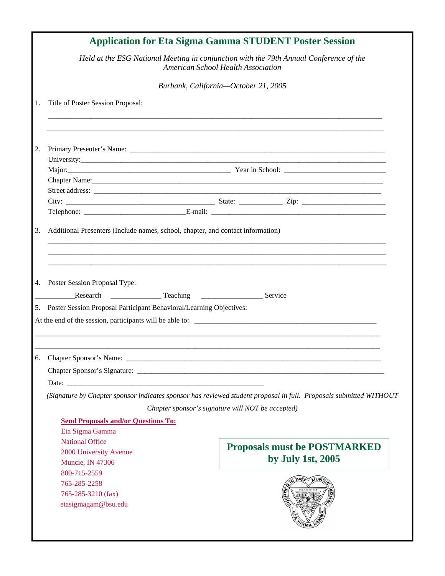|    |                                                                                                                                              | <b>Application for Eta Sigma Gamma STUDENT Poster Session</b>                                                                                                           |
|----|----------------------------------------------------------------------------------------------------------------------------------------------|-------------------------------------------------------------------------------------------------------------------------------------------------------------------------|
|    |                                                                                                                                              | Held at the ESG National Meeting in conjunction with the 79th Annual Conference of the<br>American School Health Association                                            |
|    |                                                                                                                                              | Burbank, California-October 21, 2005                                                                                                                                    |
| 1. | Title of Poster Session Proposal:                                                                                                            |                                                                                                                                                                         |
| 2. |                                                                                                                                              |                                                                                                                                                                         |
|    |                                                                                                                                              | Major: Vear in School: Vear in School:                                                                                                                                  |
|    |                                                                                                                                              |                                                                                                                                                                         |
| 3. | Additional Presenters (Include names, school, chapter, and contact information)                                                              |                                                                                                                                                                         |
|    |                                                                                                                                              |                                                                                                                                                                         |
|    | Poster Session Proposal Type:<br>5. Poster Session Proposal Participant Behavioral/Learning Objectives:                                      | At the end of the session, participants will be able to:                                                                                                                |
|    | 6. Chapter Sponsor's Name:                                                                                                                   |                                                                                                                                                                         |
|    |                                                                                                                                              | (Signature by Chapter sponsor indicates sponsor has reviewed student proposal in full. Proposals submitted WITHOUT<br>Chapter sponsor's signature will NOT be accepted) |
| 4. | <b>Send Proposals and/or Questions To:</b><br>Eta Sigma Gamma<br><b>National Office</b><br>2000 University Avenue<br><b>Muncie, IN 47306</b> | <b>Proposals must be POSTMARKED</b><br>by July 1st, 2005                                                                                                                |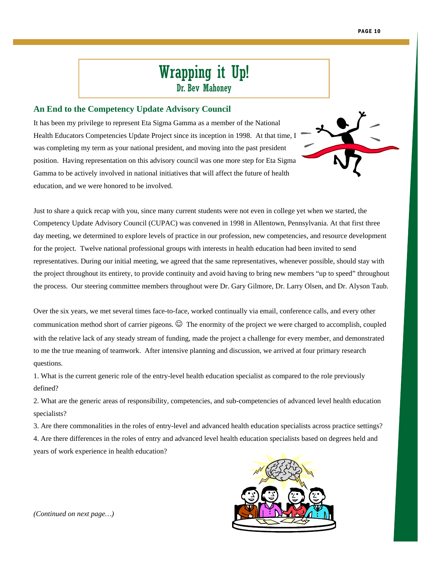# Wrapping it Up!

Dr. Bev Mahoney

#### **An End to the Competency Update Advisory Council**

It has been my privilege to represent Eta Sigma Gamma as a member of the National Health Educators Competencies Update Project since its inception in 1998. At that time, I was completing my term as your national president, and moving into the past president position. Having representation on this advisory council was one more step for Eta Sigma Gamma to be actively involved in national initiatives that will affect the future of health education, and we were honored to be involved.



Just to share a quick recap with you, since many current students were not even in college yet when we started, the Competency Update Advisory Council (CUPAC) was convened in 1998 in Allentown, Pennsylvania. At that first three day meeting, we determined to explore levels of practice in our profession, new competencies, and resource development for the project. Twelve national professional groups with interests in health education had been invited to send representatives. During our initial meeting, we agreed that the same representatives, whenever possible, should stay with the project throughout its entirety, to provide continuity and avoid having to bring new members "up to speed" throughout the process. Our steering committee members throughout were Dr. Gary Gilmore, Dr. Larry Olsen, and Dr. Alyson Taub.

Over the six years, we met several times face-to-face, worked continually via email, conference calls, and every other communication method short of carrier pigeons.  $\odot$  The enormity of the project we were charged to accomplish, coupled with the relative lack of any steady stream of funding, made the project a challenge for every member, and demonstrated to me the true meaning of teamwork. After intensive planning and discussion, we arrived at four primary research questions.

1. What is the current generic role of the entry-level health education specialist as compared to the role previously defined?

2. What are the generic areas of responsibility, competencies, and sub-competencies of advanced level health education specialists?

3. Are there commonalities in the roles of entry-level and advanced health education specialists across practice settings? 4. Are there differences in the roles of entry and advanced level health education specialists based on degrees held and years of work experience in health education?

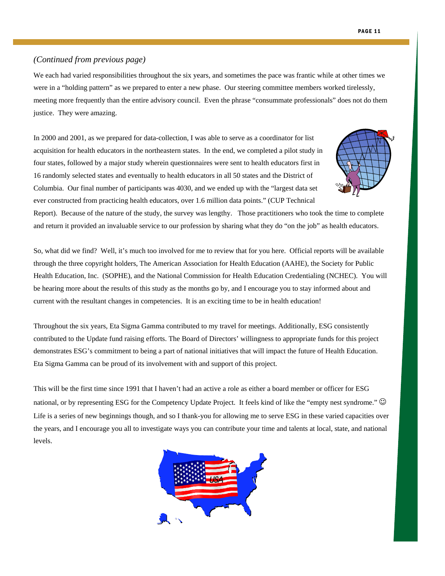We each had varied responsibilities throughout the six years, and sometimes the pace was frantic while at other times we were in a "holding pattern" as we prepared to enter a new phase. Our steering committee members worked tirelessly, meeting more frequently than the entire advisory council. Even the phrase "consummate professionals" does not do them justice. They were amazing.

In 2000 and 2001, as we prepared for data-collection, I was able to serve as a coordinator for list acquisition for health educators in the northeastern states. In the end, we completed a pilot study in four states, followed by a major study wherein questionnaires were sent to health educators first in 16 randomly selected states and eventually to health educators in all 50 states and the District of Columbia. Our final number of participants was 4030, and we ended up with the "largest data set ever constructed from practicing health educators, over 1.6 million data points." (CUP Technical



Report). Because of the nature of the study, the survey was lengthy. Those practitioners who took the time to complete and return it provided an invaluable service to our profession by sharing what they do "on the job" as health educators.

So, what did we find? Well, it's much too involved for me to review that for you here. Official reports will be available through the three copyright holders, The American Association for Health Education (AAHE), the Society for Public Health Education, Inc. (SOPHE), and the National Commission for Health Education Credentialing (NCHEC). You will be hearing more about the results of this study as the months go by, and I encourage you to stay informed about and current with the resultant changes in competencies. It is an exciting time to be in health education!

Throughout the six years, Eta Sigma Gamma contributed to my travel for meetings. Additionally, ESG consistently contributed to the Update fund raising efforts. The Board of Directors' willingness to appropriate funds for this project demonstrates ESG's commitment to being a part of national initiatives that will impact the future of Health Education. Eta Sigma Gamma can be proud of its involvement with and support of this project.

This will be the first time since 1991 that I haven't had an active a role as either a board member or officer for ESG national, or by representing ESG for the Competency Update Project. It feels kind of like the "empty nest syndrome."  $\odot$ Life is a series of new beginnings though, and so I thank-you for allowing me to serve ESG in these varied capacities over the years, and I encourage you all to investigate ways you can contribute your time and talents at local, state, and national levels.